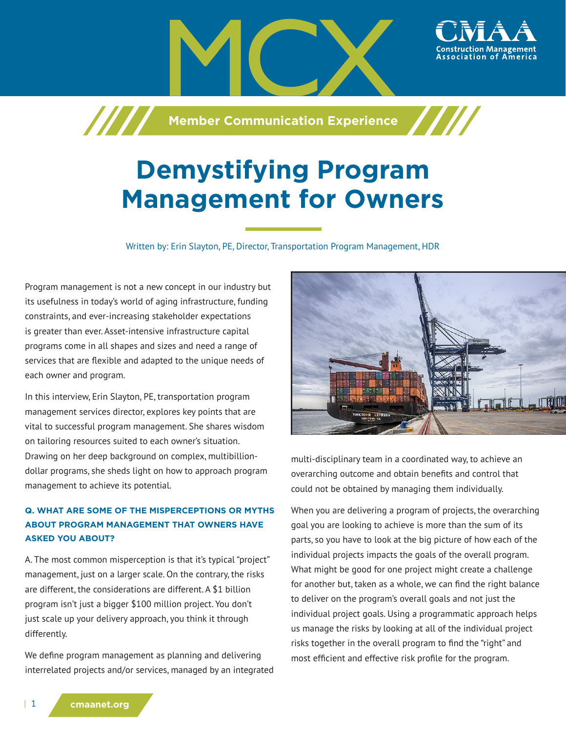

# **Demystifying Program Management for Owners**

Written by: Erin Slayton, PE, Director, Transportation Program Management, HDR

Program management is not a new concept in our industry but its usefulness in today's world of aging infrastructure, funding constraints, and ever-increasing stakeholder expectations is greater than ever. Asset-intensive infrastructure capital programs come in all shapes and sizes and need a range of services that are flexible and adapted to the unique needs of each owner and program.

In this interview, Erin Slayton, PE, transportation program management services director, explores key points that are vital to successful program management. She shares wisdom on tailoring resources suited to each owner's situation. Drawing on her deep background on complex, multibilliondollar programs, she sheds light on how to approach program management to achieve its potential.

# **Q. WHAT ARE SOME OF THE MISPERCEPTIONS OR MYTHS ABOUT PROGRAM MANAGEMENT THAT OWNERS HAVE ASKED YOU ABOUT?**

A. The most common misperception is that it's typical "project" management, just on a larger scale. On the contrary, the risks are different, the considerations are different. A \$1 billion program isn't just a bigger \$100 million project. You don't just scale up your delivery approach, you think it through differently.

We define program management as planning and delivering interrelated projects and/or services, managed by an integrated



multi-disciplinary team in a coordinated way, to achieve an overarching outcome and obtain benefits and control that could not be obtained by managing them individually.

When you are delivering a program of projects, the overarching goal you are looking to achieve is more than the sum of its parts, so you have to look at the big picture of how each of the individual projects impacts the goals of the overall program. What might be good for one project might create a challenge for another but, taken as a whole, we can find the right balance to deliver on the program's overall goals and not just the individual project goals. Using a programmatic approach helps us manage the risks by looking at all of the individual project risks together in the overall program to find the "right" and most efficient and effective risk profile for the program.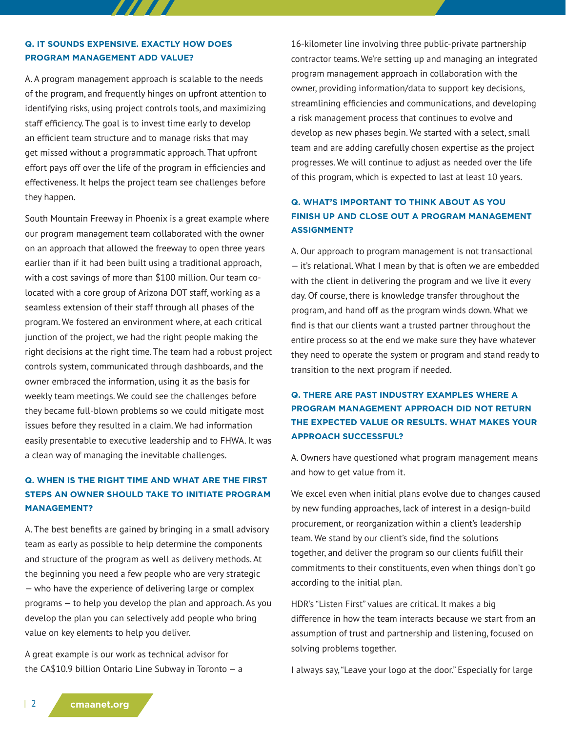### **Q. IT SOUNDS EXPENSIVE. EXACTLY HOW DOES PROGRAM MANAGEMENT ADD VALUE?**

777 T T

A. A program management approach is scalable to the needs of the program, and frequently hinges on upfront attention to identifying risks, using project controls tools, and maximizing staff efficiency. The goal is to invest time early to develop an efficient team structure and to manage risks that may get missed without a programmatic approach. That upfront effort pays off over the life of the program in efficiencies and effectiveness. It helps the project team see challenges before they happen.

South Mountain Freeway in Phoenix is a great example where our program management team collaborated with the owner on an approach that allowed the freeway to open three years earlier than if it had been built using a traditional approach, with a cost savings of more than \$100 million. Our team colocated with a core group of Arizona DOT staff, working as a seamless extension of their staff through all phases of the program. We fostered an environment where, at each critical junction of the project, we had the right people making the right decisions at the right time. The team had a robust project controls system, communicated through dashboards, and the owner embraced the information, using it as the basis for weekly team meetings. We could see the challenges before they became full-blown problems so we could mitigate most issues before they resulted in a claim. We had information easily presentable to executive leadership and to FHWA. It was a clean way of managing the inevitable challenges.

# **Q. WHEN IS THE RIGHT TIME AND WHAT ARE THE FIRST STEPS AN OWNER SHOULD TAKE TO INITIATE PROGRAM MANAGEMENT?**

A. The best benefits are gained by bringing in a small advisory team as early as possible to help determine the components and structure of the program as well as delivery methods. At the beginning you need a few people who are very strategic — who have the experience of delivering large or complex programs — to help you develop the plan and approach. As you develop the plan you can selectively add people who bring value on key elements to help you deliver.

A great example is our work as technical advisor for the CA\$10.9 billion Ontario Line Subway in Toronto — a 16-kilometer line involving three public-private partnership contractor teams. We're setting up and managing an integrated program management approach in collaboration with the owner, providing information/data to support key decisions, streamlining efficiencies and communications, and developing a risk management process that continues to evolve and develop as new phases begin. We started with a select, small team and are adding carefully chosen expertise as the project progresses. We will continue to adjust as needed over the life of this program, which is expected to last at least 10 years.

# **Q. WHAT'S IMPORTANT TO THINK ABOUT AS YOU FINISH UP AND CLOSE OUT A PROGRAM MANAGEMENT ASSIGNMENT?**

A. Our approach to program management is not transactional — it's relational. What I mean by that is often we are embedded with the client in delivering the program and we live it every day. Of course, there is knowledge transfer throughout the program, and hand off as the program winds down. What we find is that our clients want a trusted partner throughout the entire process so at the end we make sure they have whatever they need to operate the system or program and stand ready to transition to the next program if needed.

# **Q. THERE ARE PAST INDUSTRY EXAMPLES WHERE A PROGRAM MANAGEMENT APPROACH DID NOT RETURN THE EXPECTED VALUE OR RESULTS. WHAT MAKES YOUR APPROACH SUCCESSFUL?**

A. Owners have questioned what program management means and how to get value from it.

We excel even when initial plans evolve due to changes caused by new funding approaches, lack of interest in a design-build procurement, or reorganization within a client's leadership team. We stand by our client's side, find the solutions together, and deliver the program so our clients fulfill their commitments to their constituents, even when things don't go according to the initial plan.

HDR's "Listen First" values are critical. It makes a big difference in how the team interacts because we start from an assumption of trust and partnership and listening, focused on solving problems together.

I always say, "Leave your logo at the door." Especially for large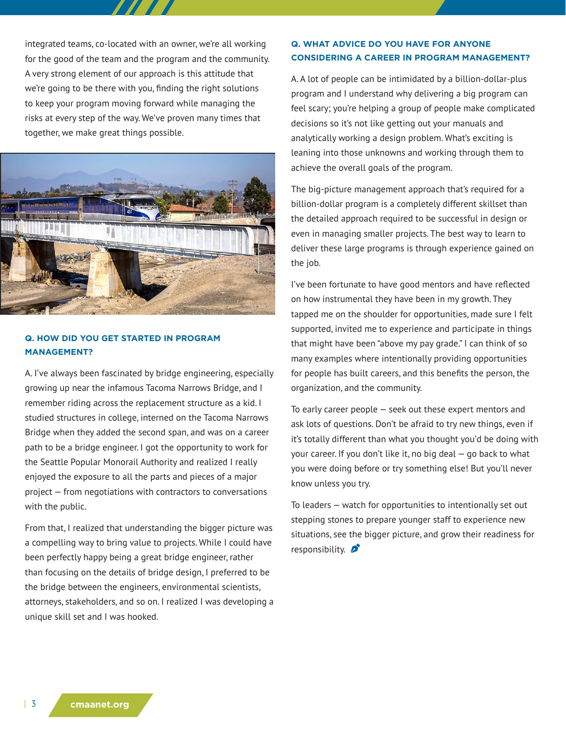integrated teams, co-located with an owner, we're all working for the good of the team and the program and the community. A very strong element of our approach is this attitude that we're going to be there with you, finding the right solutions to keep your program moving forward while managing the risks at every step of the way. We've proven many times that together, we make great things possible.



## **Q. HOW DID YOU GET STARTED IN PROGRAM MANAGEMENT?**

A. I've always been fascinated by bridge engineering, especially growing up near the infamous Tacoma Narrows Bridge, and I remember riding across the replacement structure as a kid. I studied structures in college, interned on the Tacoma Narrows Bridge when they added the second span, and was on a career path to be a bridge engineer. I got the opportunity to work for the Seattle Popular Monorail Authority and realized I really enjoyed the exposure to all the parts and pieces of a major project — from negotiations with contractors to conversations with the public.

From that, I realized that understanding the bigger picture was a compelling way to bring value to projects. While I could have been perfectly happy being a great bridge engineer, rather than focusing on the details of bridge design, I preferred to be the bridge between the engineers, environmental scientists, attorneys, stakeholders, and so on. I realized I was developing a unique skill set and I was hooked.

#### **Q. WHAT ADVICE DO YOU HAVE FOR ANYONE CONSIDERING A CAREER IN PROGRAM MANAGEMENT?**

A. A lot of people can be intimidated by a billion-dollar-plus program and I understand why delivering a big program can feel scary; you're helping a group of people make complicated decisions so it's not like getting out your manuals and analytically working a design problem. What's exciting is leaning into those unknowns and working through them to achieve the overall goals of the program.

The big-picture management approach that's required for a billion-dollar program is a completely different skillset than the detailed approach required to be successful in design or even in managing smaller projects. The best way to learn to deliver these large programs is through experience gained on the job.

I've been fortunate to have good mentors and have reflected on how instrumental they have been in my growth. They tapped me on the shoulder for opportunities, made sure I felt supported, invited me to experience and participate in things that might have been "above my pay grade." I can think of so many examples where intentionally providing opportunities for people has built careers, and this benefits the person, the organization, and the community.

To early career people — seek out these expert mentors and ask lots of questions. Don't be afraid to try new things, even if it's totally different than what you thought you'd be doing with your career. If you don't like it, no big deal — go back to what you were doing before or try something else! But you'll never know unless you try.

To leaders — watch for opportunities to intentionally set out stepping stones to prepare younger staff to experience new situations, see the bigger picture, and grow their readiness for responsibility.